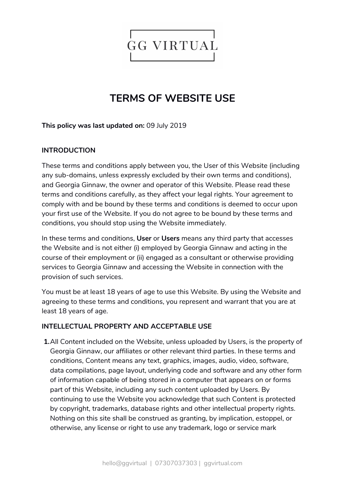

# **TERMS OF WEBSITE USE**

## **This policy was last updated on:** 09 July 2019

## **INTRODUCTION**

These terms and conditions apply between you, the User of this Website (including any sub-domains, unless expressly excluded by their own terms and conditions), and Georgia Ginnaw, the owner and operator of this Website. Please read these terms and conditions carefully, as they affect your legal rights. Your agreement to comply with and be bound by these terms and conditions is deemed to occur upon your first use of the Website. If you do not agree to be bound by these terms and conditions, you should stop using the Website immediately.

In these terms and conditions, **User** or **Users** means any third party that accesses the Website and is not either (i) employed by Georgia Ginnaw and acting in the course of their employment or (ii) engaged as a consultant or otherwise providing services to Georgia Ginnaw and accessing the Website in connection with the provision of such services.

You must be at least 18 years of age to use this Website. By using the Website and agreeing to these terms and conditions, you represent and warrant that you are at least 18 years of age.

#### **INTELLECTUAL PROPERTY AND ACCEPTABLE USE**

**1.**All Content included on the Website, unless uploaded by Users, is the property of Georgia Ginnaw, our affiliates or other relevant third parties. In these terms and conditions, Content means any text, graphics, images, audio, video, software, data compilations, page layout, underlying code and software and any other form of information capable of being stored in a computer that appears on or forms part of this Website, including any such content uploaded by Users. By continuing to use the Website you acknowledge that such Content is protected by copyright, trademarks, database rights and other intellectual property rights. Nothing on this site shall be construed as granting, by implication, estoppel, or otherwise, any license or right to use any trademark, logo or service mark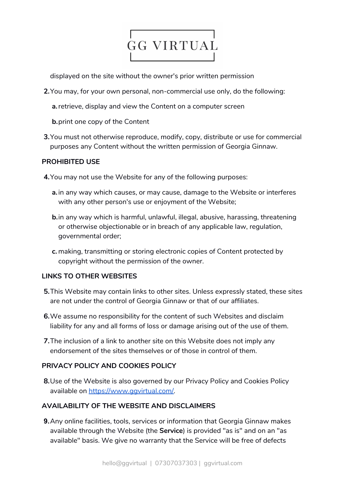

displayed on the site without the owner's prior written permission

- **2.**You may, for your own personal, non-commercial use only, do the following:
	- **a.**retrieve, display and view the Content on a computer screen
	- **b.**print one copy of the Content
- **3.**You must not otherwise reproduce, modify, copy, distribute or use for commercial purposes any Content without the written permission of Georgia Ginnaw.

## **PROHIBITED USE**

- **4.**You may not use the Website for any of the following purposes:
	- **a.** in any way which causes, or may cause, damage to the Website or interferes with any other person's use or enjoyment of the Website;
	- **b.**in any way which is harmful, unlawful, illegal, abusive, harassing, threatening or otherwise objectionable or in breach of any applicable law, regulation, governmental order;
	- **c.** making, transmitting or storing electronic copies of Content protected by copyright without the permission of the owner.

# **LINKS TO OTHER WEBSITES**

- **5.**This Website may contain links to other sites. Unless expressly stated, these sites are not under the control of Georgia Ginnaw or that of our affiliates.
- **6.**We assume no responsibility for the content of such Websites and disclaim liability for any and all forms of loss or damage arising out of the use of them.
- **7.**The inclusion of a link to another site on this Website does not imply any endorsement of the sites themselves or of those in control of them.

# **PRIVACY POLICY AND COOKIES POLICY**

**8.**Use of the Website is also governed by our Privacy Policy and Cookies Policy available on [https://www.ggvirtual.com/.](https://www.ggvirtual.com/)

# **AVAILABILITY OF THE WEBSITE AND DISCLAIMERS**

 **9.**Any online facilities, tools, services or information that Georgia Ginnaw makes available through the Website (the **Service**) is provided "as is" and on an "as available" basis. We give no warranty that the Service will be free of defects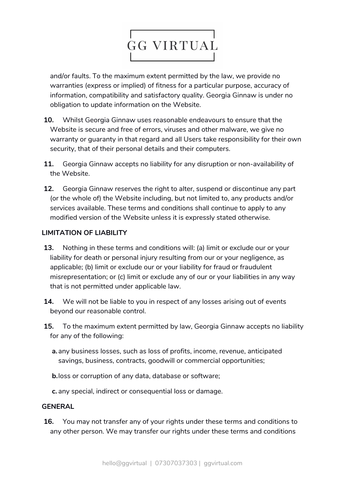

and/or faults. To the maximum extent permitted by the law, we provide no warranties (express or implied) of fitness for a particular purpose, accuracy of information, compatibility and satisfactory quality. Georgia Ginnaw is under no obligation to update information on the Website.

- **10.** Whilst Georgia Ginnaw uses reasonable endeavours to ensure that the Website is secure and free of errors, viruses and other malware, we give no warranty or guaranty in that regard and all Users take responsibility for their own security, that of their personal details and their computers.
- **11.** Georgia Ginnaw accepts no liability for any disruption or non-availability of the Website.
- **12.** Georgia Ginnaw reserves the right to alter, suspend or discontinue any part (or the whole of) the Website including, but not limited to, any products and/or services available. These terms and conditions shall continue to apply to any modified version of the Website unless it is expressly stated otherwise.

#### **LIMITATION OF LIABILITY**

- **13.** Nothing in these terms and conditions will: (a) limit or exclude our or your liability for death or personal injury resulting from our or your negligence, as applicable; (b) limit or exclude our or your liability for fraud or fraudulent misrepresentation; or (c) limit or exclude any of our or your liabilities in any way that is not permitted under applicable law.
- **14.** We will not be liable to you in respect of any losses arising out of events beyond our reasonable control.
- **15.** To the maximum extent permitted by law, Georgia Ginnaw accepts no liability for any of the following:
	- **a.**any business losses, such as loss of profits, income, revenue, anticipated savings, business, contracts, goodwill or commercial opportunities;
	- **b.**loss or corruption of any data, database or software;
	- **c.** any special, indirect or consequential loss or damage.

#### **GENERAL**

**16.** You may not transfer any of your rights under these terms and conditions to any other person. We may transfer our rights under these terms and conditions